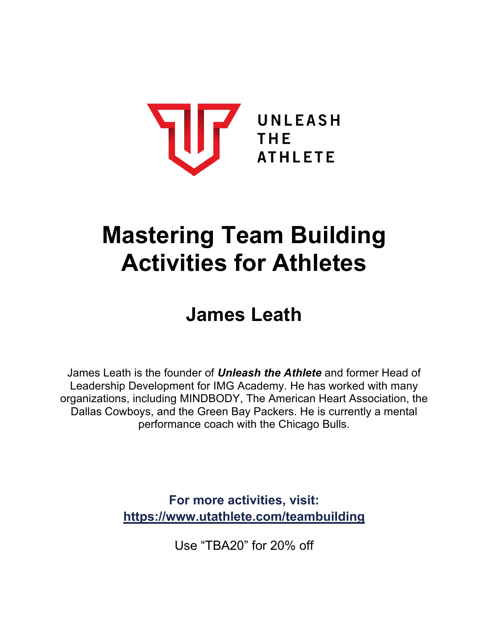

# **Mastering Team Building Activities for Athletes**

## **James Leath**

James Leath is the founder of *Unleash the Athlete* and former Head of Leadership Development for IMG Academy. He has worked with many organizations, including MINDBODY, The American Heart Association, the Dallas Cowboys, and the Green Bay Packers. He is currently a mental performance coach with the Chicago Bulls.

> **For more activities, visit: https://www.utathlete.com/teambuilding**

> > Use "TBA20" for 20% off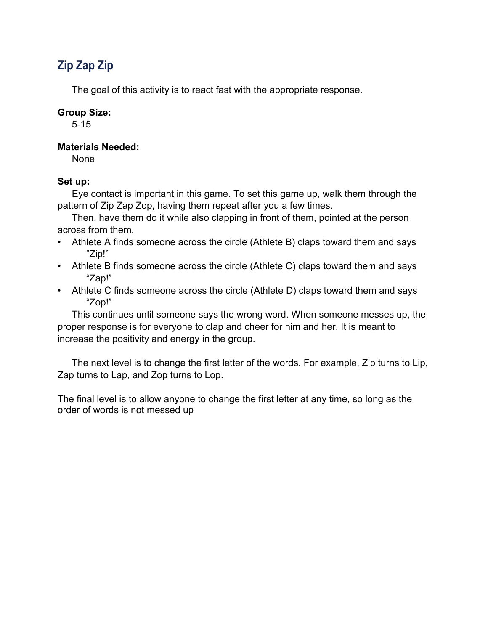## **Zip Zap Zip**

The goal of this activity is to react fast with the appropriate response.

#### **Group Size:**

5-15

#### **Materials Needed:**

None

#### **Set up:**

Eye contact is important in this game. To set this game up, walk them through the pattern of Zip Zap Zop, having them repeat after you a few times.

Then, have them do it while also clapping in front of them, pointed at the person across from them.

- Athlete A finds someone across the circle (Athlete B) claps toward them and says "Zip!"
- Athlete B finds someone across the circle (Athlete C) claps toward them and says "Zap!"
- Athlete C finds someone across the circle (Athlete D) claps toward them and says "Zop!"

This continues until someone says the wrong word. When someone messes up, the proper response is for everyone to clap and cheer for him and her. It is meant to increase the positivity and energy in the group.

The next level is to change the first letter of the words. For example, Zip turns to Lip, Zap turns to Lap, and Zop turns to Lop.

The final level is to allow anyone to change the first letter at any time, so long as the order of words is not messed up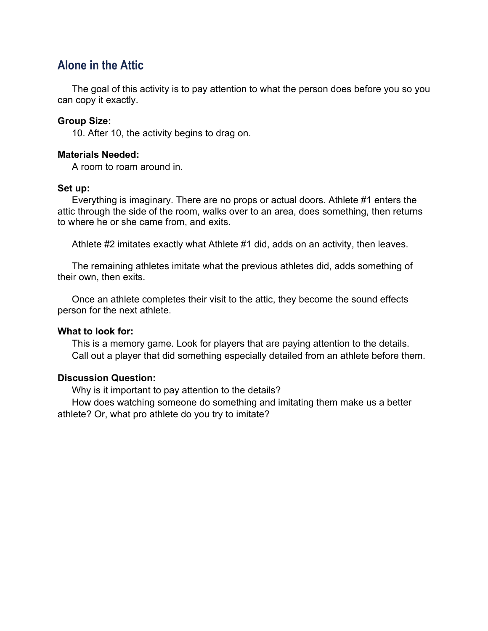## **Alone in the Attic**

The goal of this activity is to pay attention to what the person does before you so you can copy it exactly.

#### **Group Size:**

10. After 10, the activity begins to drag on.

#### **Materials Needed:**

A room to roam around in.

#### **Set up:**

Everything is imaginary. There are no props or actual doors. Athlete #1 enters the attic through the side of the room, walks over to an area, does something, then returns to where he or she came from, and exits.

Athlete #2 imitates exactly what Athlete #1 did, adds on an activity, then leaves.

The remaining athletes imitate what the previous athletes did, adds something of their own, then exits.

Once an athlete completes their visit to the attic, they become the sound effects person for the next athlete.

#### **What to look for:**

This is a memory game. Look for players that are paying attention to the details. Call out a player that did something especially detailed from an athlete before them.

#### **Discussion Question:**

Why is it important to pay attention to the details?

How does watching someone do something and imitating them make us a better athlete? Or, what pro athlete do you try to imitate?